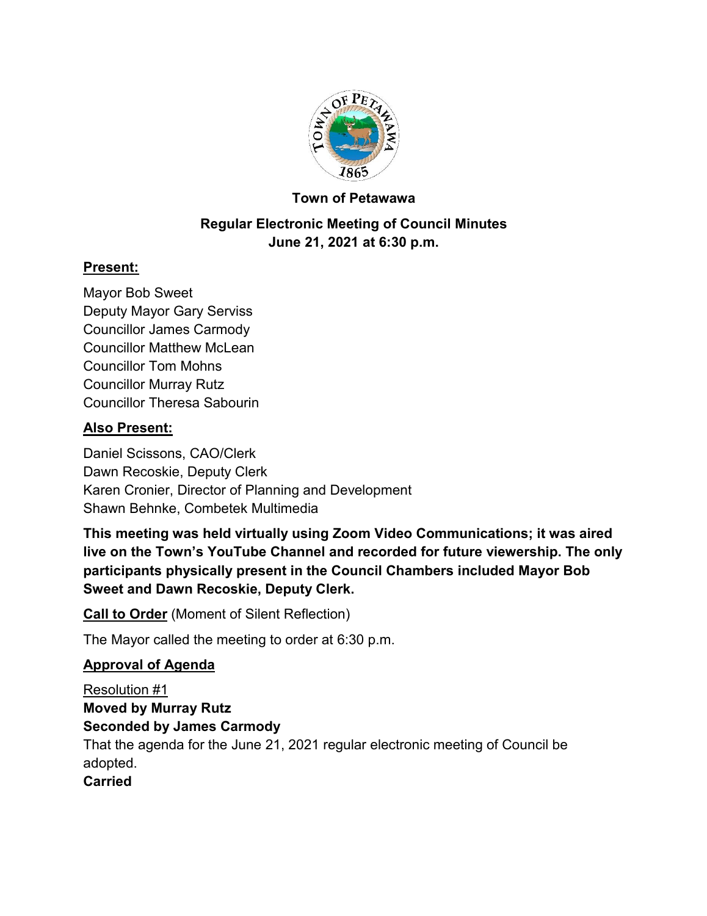

# **Town of Petawawa**

# **Regular Electronic Meeting of Council Minutes June 21, 2021 at 6:30 p.m.**

## **Present:**

Mayor Bob Sweet Deputy Mayor Gary Serviss Councillor James Carmody Councillor Matthew McLean Councillor Tom Mohns Councillor Murray Rutz Councillor Theresa Sabourin

# **Also Present:**

Daniel Scissons, CAO/Clerk Dawn Recoskie, Deputy Clerk Karen Cronier, Director of Planning and Development Shawn Behnke, Combetek Multimedia

**This meeting was held virtually using Zoom Video Communications; it was aired live on the Town's YouTube Channel and recorded for future viewership. The only participants physically present in the Council Chambers included Mayor Bob Sweet and Dawn Recoskie, Deputy Clerk.**

**Call to Order** (Moment of Silent Reflection)

The Mayor called the meeting to order at 6:30 p.m.

# **Approval of Agenda**

Resolution #1 **Moved by Murray Rutz Seconded by James Carmody** That the agenda for the June 21, 2021 regular electronic meeting of Council be adopted.

## **Carried**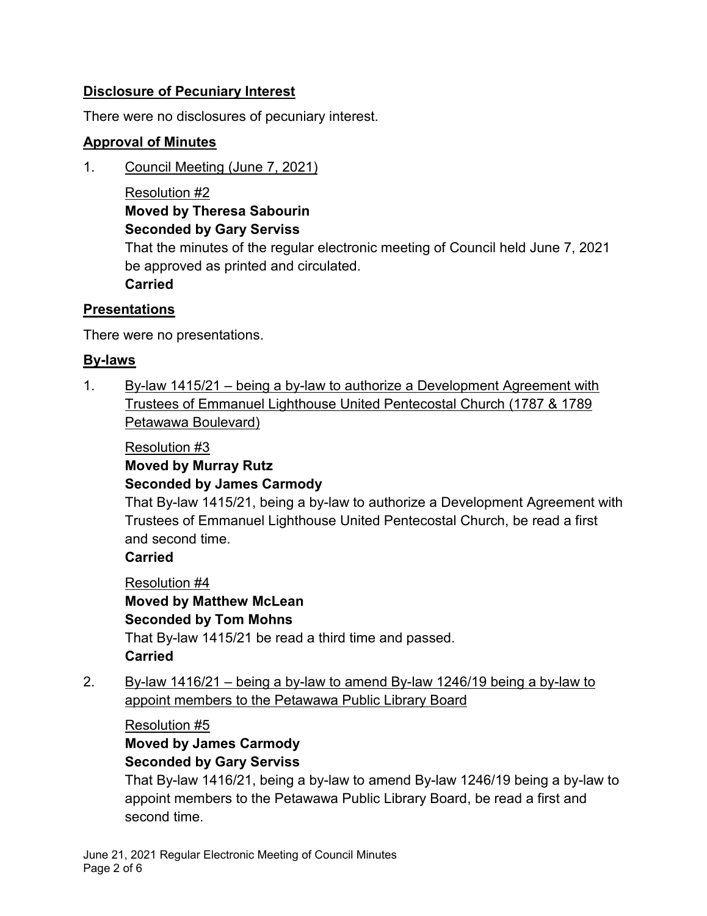# **Disclosure of Pecuniary Interest**

There were no disclosures of pecuniary interest.

## **Approval of Minutes**

1. Council Meeting (June 7, 2021)

Resolution #2 **Moved by Theresa Sabourin Seconded by Gary Serviss**

That the minutes of the regular electronic meeting of Council held June 7, 2021 be approved as printed and circulated.

**Carried**

## **Presentations**

There were no presentations.

# **By-laws**

1. By-law 1415/21 – being a by-law to authorize a Development Agreement with Trustees of Emmanuel Lighthouse United Pentecostal Church (1787 & 1789 Petawawa Boulevard)

## Resolution #3

# **Moved by Murray Rutz**

## **Seconded by James Carmody**

That By-law 1415/21, being a by-law to authorize a Development Agreement with Trustees of Emmanuel Lighthouse United Pentecostal Church, be read a first and second time.

## **Carried**

Resolution #4 **Moved by Matthew McLean Seconded by Tom Mohns** That By-law 1415/21 be read a third time and passed. **Carried**

2. By-law 1416/21 – being a by-law to amend By-law 1246/19 being a by-law to appoint members to the Petawawa Public Library Board

Resolution #5 **Moved by James Carmody Seconded by Gary Serviss**

That By-law 1416/21, being a by-law to amend By-law 1246/19 being a by-law to appoint members to the Petawawa Public Library Board, be read a first and second time.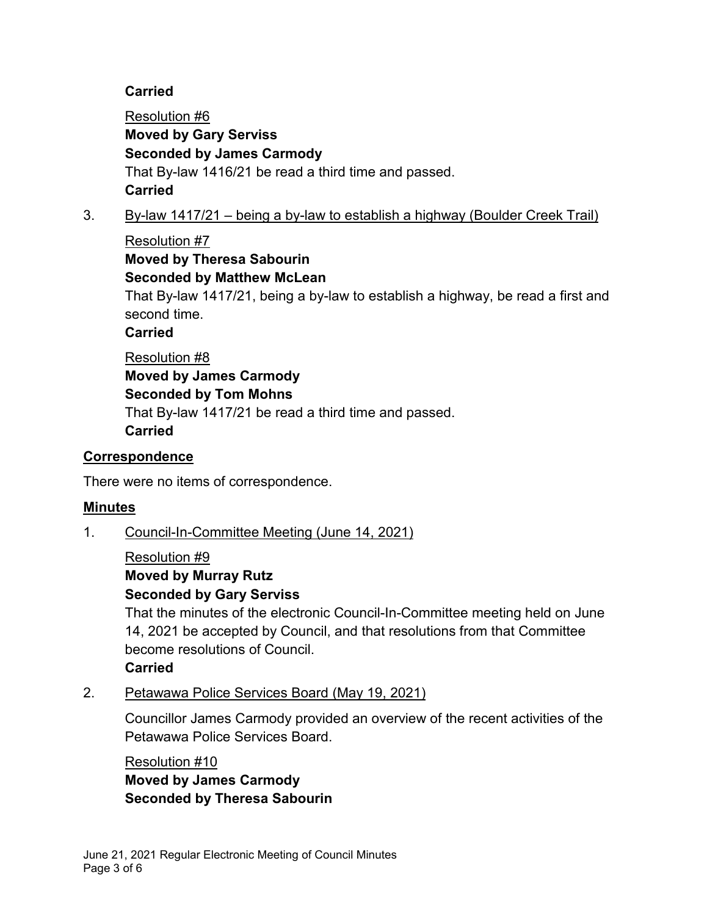## **Carried**

Resolution #6 **Moved by Gary Serviss Seconded by James Carmody** That By-law 1416/21 be read a third time and passed. **Carried**

# 3. By-law 1417/21 – being a by-law to establish a highway (Boulder Creek Trail)

Resolution #7 **Moved by Theresa Sabourin**

**Seconded by Matthew McLean**

That By-law 1417/21, being a by-law to establish a highway, be read a first and second time.

**Carried**

Resolution #8 **Moved by James Carmody Seconded by Tom Mohns** That By-law 1417/21 be read a third time and passed. **Carried**

### **Correspondence**

There were no items of correspondence.

## **Minutes**

1. Council-In-Committee Meeting (June 14, 2021)

#### Resolution #9

# **Moved by Murray Rutz**

#### **Seconded by Gary Serviss**

That the minutes of the electronic Council-In-Committee meeting held on June 14, 2021 be accepted by Council, and that resolutions from that Committee become resolutions of Council.

**Carried**

2. Petawawa Police Services Board (May 19, 2021)

Councillor James Carmody provided an overview of the recent activities of the Petawawa Police Services Board.

Resolution #10 **Moved by James Carmody Seconded by Theresa Sabourin**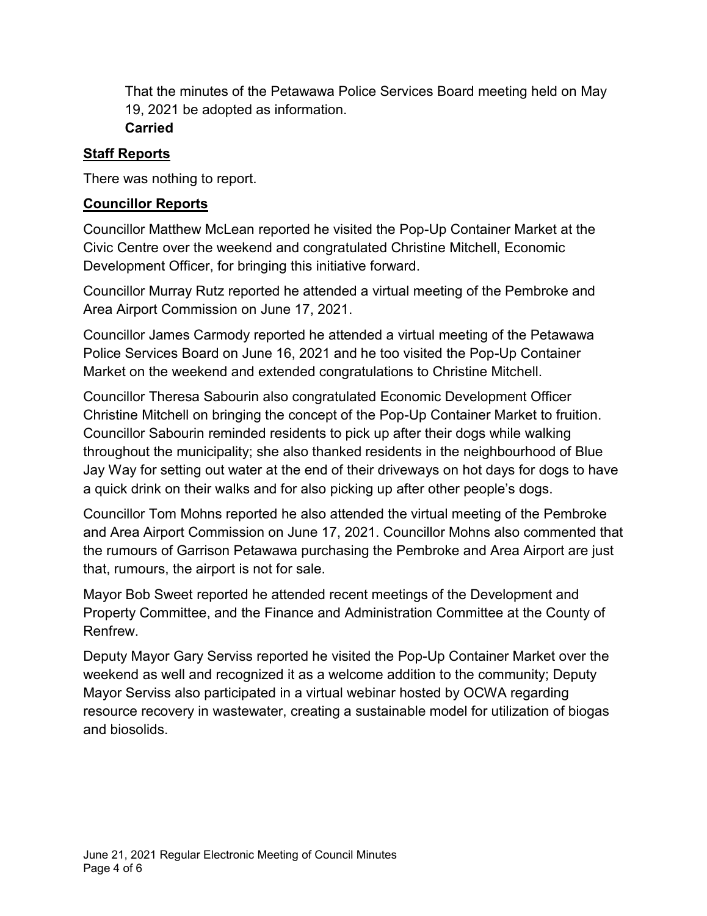That the minutes of the Petawawa Police Services Board meeting held on May 19, 2021 be adopted as information. **Carried**

### **Staff Reports**

There was nothing to report.

#### **Councillor Reports**

Councillor Matthew McLean reported he visited the Pop-Up Container Market at the Civic Centre over the weekend and congratulated Christine Mitchell, Economic Development Officer, for bringing this initiative forward.

Councillor Murray Rutz reported he attended a virtual meeting of the Pembroke and Area Airport Commission on June 17, 2021.

Councillor James Carmody reported he attended a virtual meeting of the Petawawa Police Services Board on June 16, 2021 and he too visited the Pop-Up Container Market on the weekend and extended congratulations to Christine Mitchell.

Councillor Theresa Sabourin also congratulated Economic Development Officer Christine Mitchell on bringing the concept of the Pop-Up Container Market to fruition. Councillor Sabourin reminded residents to pick up after their dogs while walking throughout the municipality; she also thanked residents in the neighbourhood of Blue Jay Way for setting out water at the end of their driveways on hot days for dogs to have a quick drink on their walks and for also picking up after other people's dogs.

Councillor Tom Mohns reported he also attended the virtual meeting of the Pembroke and Area Airport Commission on June 17, 2021. Councillor Mohns also commented that the rumours of Garrison Petawawa purchasing the Pembroke and Area Airport are just that, rumours, the airport is not for sale.

Mayor Bob Sweet reported he attended recent meetings of the Development and Property Committee, and the Finance and Administration Committee at the County of Renfrew.

Deputy Mayor Gary Serviss reported he visited the Pop-Up Container Market over the weekend as well and recognized it as a welcome addition to the community; Deputy Mayor Serviss also participated in a virtual webinar hosted by OCWA regarding resource recovery in wastewater, creating a sustainable model for utilization of biogas and biosolids.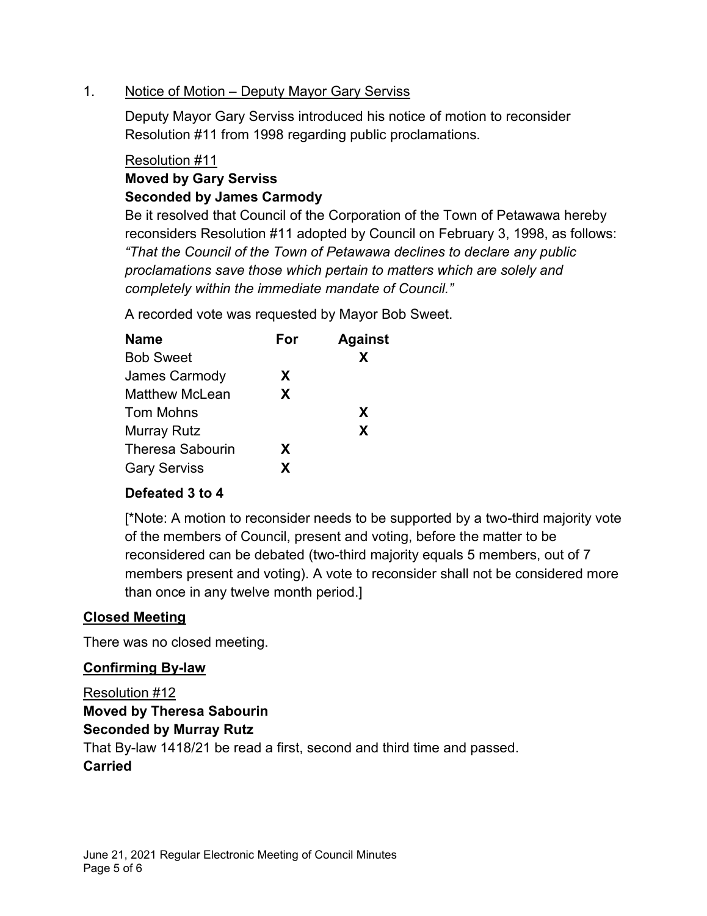#### 1. Notice of Motion – Deputy Mayor Gary Serviss

Deputy Mayor Gary Serviss introduced his notice of motion to reconsider Resolution #11 from 1998 regarding public proclamations.

#### Resolution #11

# **Moved by Gary Serviss Seconded by James Carmody**

Be it resolved that Council of the Corporation of the Town of Petawawa hereby reconsiders Resolution #11 adopted by Council on February 3, 1998, as follows: *"That the Council of the Town of Petawawa declines to declare any public proclamations save those which pertain to matters which are solely and completely within the immediate mandate of Council."*

A recorded vote was requested by Mayor Bob Sweet.

| <b>Name</b>             | For | <b>Against</b> |
|-------------------------|-----|----------------|
| <b>Bob Sweet</b>        |     | X              |
| James Carmody           | X.  |                |
| Matthew McLean          | X.  |                |
| Tom Mohns               |     | X              |
| <b>Murray Rutz</b>      |     | X              |
| <b>Theresa Sabourin</b> | X.  |                |
| <b>Gary Serviss</b>     | X.  |                |

## **Defeated 3 to 4**

[\*Note: A motion to reconsider needs to be supported by a two-third majority vote of the members of Council, present and voting, before the matter to be reconsidered can be debated (two-third majority equals 5 members, out of 7 members present and voting). A vote to reconsider shall not be considered more than once in any twelve month period.]

## **Closed Meeting**

There was no closed meeting.

## **Confirming By-law**

Resolution #12

# **Moved by Theresa Sabourin**

#### **Seconded by Murray Rutz**

That By-law 1418/21 be read a first, second and third time and passed.

## **Carried**